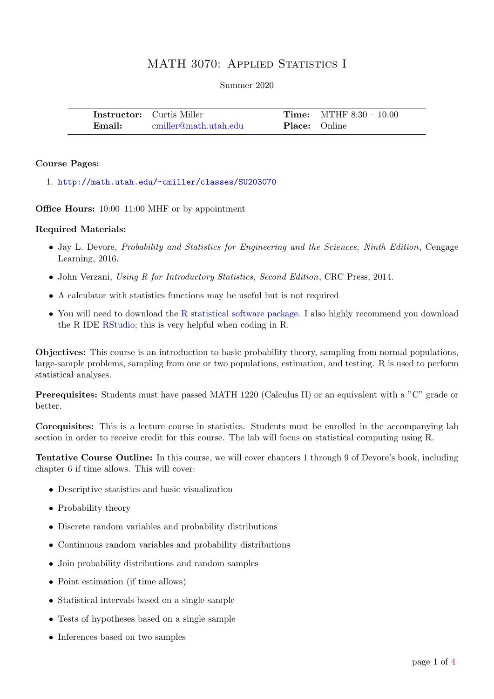# MATH 3070: APPLIED STATISTICS I

#### Summer 2020

|        | <b>Instructor:</b> Curtis Miller |                      | <b>Time:</b> MTHF $8:30 - 10:00$ |
|--------|----------------------------------|----------------------|----------------------------------|
| Email: | cmiller@math.utah.edu            | <b>Place:</b> Online |                                  |

#### Course Pages:

1. <http://math.utah.edu/~cmiller/classes/SU203070>

Office Hours: 10:00–11:00 MHF or by appointment

### Required Materials:

- Jay L. Devore, *Probability and Statistics for Engineering and the Sciences, Ninth Edition*, Cengage Learning, 2016.
- John Verzani, Using R for Introductory Statistics, Second Edition, CRC Press, 2014.
- A calculator with statistics functions may be useful but is not required
- You will need to download the [R statistical software package.](https://www.r-project.org/foundation/) I also highly recommend you download the R IDE [RStudio;](https://www.rstudio.com/) this is very helpful when coding in R.

Objectives: This course is an introduction to basic probability theory, sampling from normal populations, large-sample problems, sampling from one or two populations, estimation, and testing. R is used to perform statistical analyses.

Prerequisites: Students must have passed MATH 1220 (Calculus II) or an equivalent with a "C" grade or better.

Corequisites: This is a lecture course in statistics. Students must be enrolled in the accompanying lab section in order to receive credit for this course. The lab will focus on statistical computing using R.

Tentative Course Outline: In this course, we will cover chapters 1 through 9 of Devore's book, including chapter 6 if time allows. This will cover:

- Descriptive statistics and basic visualization
- Probability theory
- Discrete random variables and probability distributions
- Continuous random variables and probability distributions
- Join probability distributions and random samples
- Point estimation (if time allows)
- Statistical intervals based on a single sample
- Tests of hypotheses based on a single sample
- Inferences based on two samples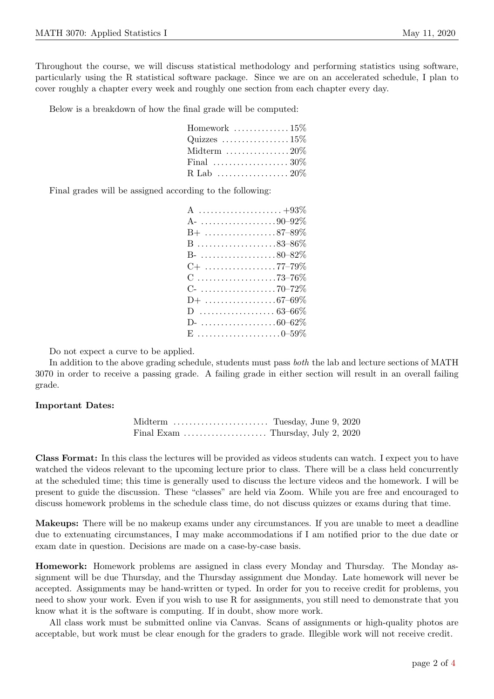Throughout the course, we will discuss statistical methodology and performing statistics using software, particularly using the R statistical software package. Since we are on an accelerated schedule, I plan to cover roughly a chapter every week and roughly one section from each chapter every day.

Below is a breakdown of how the final grade will be computed:

| Homework $\ldots \ldots \ldots \ldots 15\%$            |  |
|--------------------------------------------------------|--|
| Quizzes $\dots\dots\dots\dots\dots15\%$                |  |
| Midterm $\ldots \ldots \ldots \ldots 20\%$             |  |
| Final $\ldots \ldots \ldots \ldots \ldots \ldots 30\%$ |  |
|                                                        |  |

Final grades will be assigned according to the following:

| A- $\ldots \ldots \ldots \ldots \ldots \ldots \ldots 90 - 92\%$ |
|-----------------------------------------------------------------|
| $B+$ 87–89%                                                     |
| $B$ 83–86%                                                      |
| B- 80–82 $\%$                                                   |
|                                                                 |
| $C$ 73–76%                                                      |
|                                                                 |
|                                                                 |
|                                                                 |
| D- $\ldots \ldots \ldots \ldots \ldots 60-62\%$                 |
| $E$ 0–59%                                                       |

Do not expect a curve to be applied.

In addition to the above grading schedule, students must pass both the lab and lecture sections of MATH 3070 in order to receive a passing grade. A failing grade in either section will result in an overall failing grade.

## Important Dates:

| Midterm  Tuesday, June 9, 2020                                    |  |  |
|-------------------------------------------------------------------|--|--|
| Final Exam $\dots \dots \dots \dots \dots$ Thursday, July 2, 2020 |  |  |

Class Format: In this class the lectures will be provided as videos students can watch. I expect you to have watched the videos relevant to the upcoming lecture prior to class. There will be a class held concurrently at the scheduled time; this time is generally used to discuss the lecture videos and the homework. I will be present to guide the discussion. These "classes" are held via Zoom. While you are free and encouraged to discuss homework problems in the schedule class time, do not discuss quizzes or exams during that time.

Makeups: There will be no makeup exams under any circumstances. If you are unable to meet a deadline due to extenuating circumstances, I may make accommodations if I am notified prior to the due date or exam date in question. Decisions are made on a case-by-case basis.

Homework: Homework problems are assigned in class every Monday and Thursday. The Monday assignment will be due Thursday, and the Thursday assignment due Monday. Late homework will never be accepted. Assignments may be hand-written or typed. In order for you to receive credit for problems, you need to show your work. Even if you wish to use R for assignments, you still need to demonstrate that you know what it is the software is computing. If in doubt, show more work.

All class work must be submitted online via Canvas. Scans of assignments or high-quality photos are acceptable, but work must be clear enough for the graders to grade. Illegible work will not receive credit.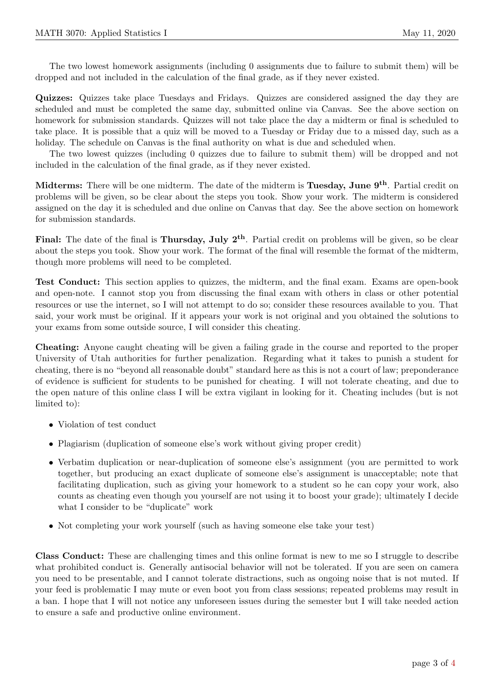The two lowest homework assignments (including 0 assignments due to failure to submit them) will be dropped and not included in the calculation of the final grade, as if they never existed.

Quizzes: Quizzes take place Tuesdays and Fridays. Quizzes are considered assigned the day they are scheduled and must be completed the same day, submitted online via Canvas. See the above section on homework for submission standards. Quizzes will not take place the day a midterm or final is scheduled to take place. It is possible that a quiz will be moved to a Tuesday or Friday due to a missed day, such as a holiday. The schedule on Canvas is the final authority on what is due and scheduled when.

The two lowest quizzes (including 0 quizzes due to failure to submit them) will be dropped and not included in the calculation of the final grade, as if they never existed.

Midterms: There will be one midterm. The date of the midterm is Tuesday, June 9<sup>th</sup>. Partial credit on problems will be given, so be clear about the steps you took. Show your work. The midterm is considered assigned on the day it is scheduled and due online on Canvas that day. See the above section on homework for submission standards.

Final: The date of the final is Thursday, July  $2^{th}$ . Partial credit on problems will be given, so be clear about the steps you took. Show your work. The format of the final will resemble the format of the midterm, though more problems will need to be completed.

Test Conduct: This section applies to quizzes, the midterm, and the final exam. Exams are open-book and open-note. I cannot stop you from discussing the final exam with others in class or other potential resources or use the internet, so I will not attempt to do so; consider these resources available to you. That said, your work must be original. If it appears your work is not original and you obtained the solutions to your exams from some outside source, I will consider this cheating.

Cheating: Anyone caught cheating will be given a failing grade in the course and reported to the proper University of Utah authorities for further penalization. Regarding what it takes to punish a student for cheating, there is no "beyond all reasonable doubt" standard here as this is not a court of law; preponderance of evidence is sufficient for students to be punished for cheating. I will not tolerate cheating, and due to the open nature of this online class I will be extra vigilant in looking for it. Cheating includes (but is not limited to):

- Violation of test conduct
- Plagiarism (duplication of someone else's work without giving proper credit)
- Verbatim duplication or near-duplication of someone else's assignment (you are permitted to work together, but producing an exact duplicate of someone else's assignment is unacceptable; note that facilitating duplication, such as giving your homework to a student so he can copy your work, also counts as cheating even though you yourself are not using it to boost your grade); ultimately I decide what I consider to be "duplicate" work
- Not completing your work yourself (such as having someone else take your test)

Class Conduct: These are challenging times and this online format is new to me so I struggle to describe what prohibited conduct is. Generally antisocial behavior will not be tolerated. If you are seen on camera you need to be presentable, and I cannot tolerate distractions, such as ongoing noise that is not muted. If your feed is problematic I may mute or even boot you from class sessions; repeated problems may result in a ban. I hope that I will not notice any unforeseen issues during the semester but I will take needed action to ensure a safe and productive online environment.